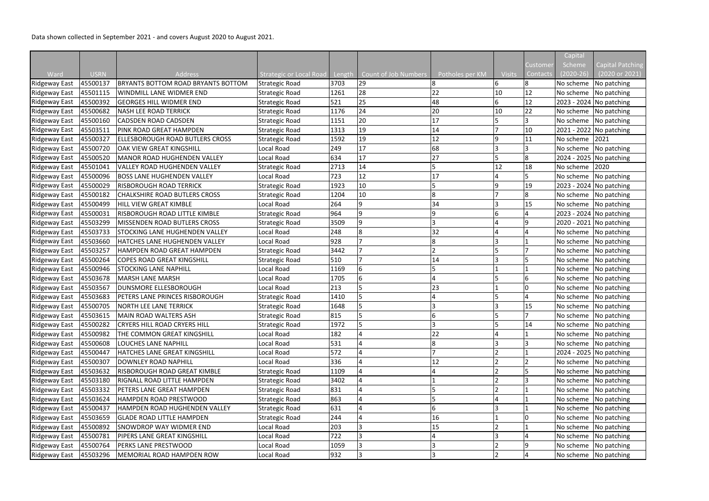|                          |             |                                                  |                         |        |                      |                 |               |                 | Capital     |                         |
|--------------------------|-------------|--------------------------------------------------|-------------------------|--------|----------------------|-----------------|---------------|-----------------|-------------|-------------------------|
|                          |             |                                                  |                         |        |                      |                 |               | Customer        | Scheme      | Capital Patching        |
| Ward                     | <b>USRN</b> | <b>Address</b>                                   | Strategic or Local Road | Length | Count of Job Numbers | Potholes per KM | <b>Visits</b> | <b>Contacts</b> | $(2020-26)$ | (2020 or 2021)          |
| <b>Ridgeway East</b>     | 45500137    | <b>BRYANTS BOTTOM ROAD BRYANTS BOTTOM</b>        | <b>Strategic Road</b>   | 3703   | 29                   |                 | 6             | 8               | No scheme   | No patching             |
| <b>Ridgeway East</b>     | 45501115    | WINDMILL LANE WIDMER END                         | <b>Strategic Road</b>   | 1261   | 28                   | 22              | 10            | 12              | No scheme   | No patching             |
| <b>Ridgeway East</b>     | 45500392    | <b>GEORGES HILL WIDMER END</b>                   | <b>Strategic Road</b>   | 521    | 25                   | 48              | 6             | 12              |             | 2023 - 2024 No patching |
| Ridgeway East   45500682 |             | <b>NASH LEE ROAD TERRICK</b>                     | <b>Strategic Road</b>   | 1176   | 24                   | 20              | 10            | 22              | No scheme   | No patching             |
| Ridgeway East            | 45500160    | <b>CADSDEN ROAD CADSDEN</b>                      | <b>Strategic Road</b>   | 1151   | 20                   | 17              | 15            |                 |             | No scheme   No patching |
| Ridgeway East            | 45503511    | PINK ROAD GREAT HAMPDEN                          | <b>Strategic Road</b>   | 1313   | 19                   | 14              | דו            | 10              |             | 2021 - 2022 No patching |
| Ridgeway East            | 45500327    | <b>ELLESBOROUGH ROAD BUTLERS CROSS</b>           | <b>Strategic Road</b>   | 1592   | 19                   | 12              | 9             | 11              | No scheme   | 2021                    |
| <b>Ridgeway East</b>     | 45500720    | OAK VIEW GREAT KINGSHILL                         | Local Road              | 249    | 17                   | 68              | 13            |                 |             | No scheme No patching   |
| Ridgeway East            | 45500520    | MANOR ROAD HUGHENDEN VALLEY                      | Local Road              | 634    | 17                   | 27              | 5             | 8               |             | 2024 - 2025 No patching |
| Ridgeway East   45501041 |             | lvalley ROAD HUGHENDEN VALLEY                    | Strategic Road          | 2713   | 14                   |                 | 12            | 18              | No scheme   | 2020                    |
| <b>Ridgeway East</b>     | 45500096    | <b>BOSS LANE HUGHENDEN VALLEY</b>                | Local Road              | 723    | 12                   | 17              |               |                 | No scheme   | No patching             |
| <b>Ridgeway East</b>     | 45500029    | <b>RISBOROUGH ROAD TERRICK</b>                   | <b>Strategic Road</b>   | 1923   | 10                   |                 | 9             | 19              |             | 2023 - 2024 No patching |
| <b>Ridgeway East</b>     | 45500182    | <b>CHALKSHIRE ROAD BUTLERS CROSS</b>             | <b>Strategic Road</b>   | 1204   | 10                   | $\overline{8}$  |               | 8               |             | No scheme No patching   |
| Ridgeway East   45500499 |             | HILL VIEW GREAT KIMBLE                           | Local Road              | 264    | 9                    | 34              | 13            | 15              |             | No scheme No patching   |
| Ridgeway East            | 45500031    | <b>RISBOROUGH ROAD LITTLE KIMBLE</b>             | <b>Strategic Road</b>   | 964    | 9                    | q               | 16            |                 |             | 2023 - 2024 No patching |
| Ridgeway East            | 45503299    | MISSENDEN ROAD BUTLERS CROSS                     | <b>Strategic Road</b>   | 3509   | 9                    |                 |               | 9               |             | 2020 - 2021 No patching |
| Ridgeway East            | 45503733    | <b>STOCKING LANE HUGHENDEN VALLEY</b>            | Local Road              | 248    | 8                    | 32              |               |                 |             | No scheme   No patching |
| <b>Ridgeway East</b>     | 45503660    | HATCHES LANE HUGHENDEN VALLEY                    | Local Road              | 928    |                      | 8               |               |                 | No scheme   | No patching             |
| Ridgeway East            | 45503257    | HAMPDEN ROAD GREAT HAMPDEN                       | Strategic Road          | 3442   |                      |                 | 15            |                 | No scheme   | No patching             |
| Ridgeway East            | 45500264    | <b>COPES ROAD GREAT KINGSHILL</b>                | <b>Strategic Road</b>   | 510    |                      | 14              | 13            |                 | No scheme   | No patching             |
| <b>Ridgeway East</b>     | 45500946    | <b>STOCKING LANE NAPHILL</b>                     | Local Road              | 1169   | 6                    |                 |               |                 | No scheme   | No patching             |
| Ridgeway East            | 45503678    | <b>MARSH LANE MARSH</b>                          | Local Road              | 1705   | 6                    |                 |               | 6               | No scheme   | No patching             |
| Ridgeway East            | 45503567    | DUNSMORE ELLESBOROUGH                            | Local Road              | 213    |                      | 23              |               | l0              | No scheme   | No patching             |
| Ridgeway East            | 45503683    | PETERS LANE PRINCES RISBOROUGH                   | Strategic Road          | 1410   |                      |                 |               |                 | No scheme   | No patching             |
| Ridgeway East   45500705 |             | <b>NORTH LEE LANE TERRICK</b>                    | <b>Strategic Road</b>   | 1648   |                      |                 |               | 15              | No scheme   | No patching             |
|                          |             | Ridgeway East   45503615   MAIN ROAD WALTERS ASH | <b>Strategic Road</b>   | 815    | lς.                  |                 |               | <b>7</b>        |             | No scheme No patching   |
| Ridgeway East   45500282 |             | <b>CRYERS HILL ROAD CRYERS HILL</b>              | <b>Strategic Road</b>   | 1972   |                      |                 | 5             | 14              |             | No scheme No patching   |
| Ridgeway East 45500982   |             | THE COMMON GREAT KINGSHILL                       | Local Road              | 182    |                      | 22              | 14            |                 |             | No scheme No patching   |
| Ridgeway East   45500608 |             | <b>LOUCHES LANE NAPHILL</b>                      | Local Road              | 531    |                      | 8               |               |                 |             | No scheme   No patching |
| Ridgeway East 45500447   |             | <b>HATCHES LANE GREAT KINGSHILL</b>              | Local Road              | 572    |                      |                 |               |                 |             | 2024 - 2025 No patching |
| Ridgeway East   45500307 |             | <b>DOWNLEY ROAD NAPHILL</b>                      | Local Road              | 336    | 4                    | 12              | 12            |                 |             | No scheme   No patching |
| Ridgeway East   45503632 |             | <b>RISBOROUGH ROAD GREAT KIMBLE</b>              | Strategic Road          | 1109   |                      |                 |               |                 |             | No scheme   No patching |
| Ridgeway East 45503180   |             | RIGNALL ROAD LITTLE HAMPDEN                      | <b>Strategic Road</b>   | 3402   |                      |                 |               |                 |             | No scheme No patching   |
| Ridgeway East   45503332 |             | PETERS LANE GREAT HAMPDEN                        | <b>Strategic Road</b>   | 831    |                      |                 |               |                 | No scheme   | No patching             |
| Ridgeway East 45503624   |             | HAMPDEN ROAD PRESTWOOD                           | <b>Strategic Road</b>   | 863    |                      |                 |               |                 | No scheme   | No patching             |
| Ridgeway East   45500437 |             | HAMPDEN ROAD HUGHENDEN VALLEY                    | <b>Strategic Road</b>   | 631    | 4                    | 6               | 13            |                 | No scheme   | No patching             |
| Ridgeway East   45503659 |             | <b>GLADE ROAD LITTLE HAMPDEN</b>                 | Strategic Road          | 244    |                      | 16              |               |                 | No scheme   | No patching             |
| Ridgeway East 45500892   |             | <b>SNOWDROP WAY WIDMER END</b>                   | Local Road              | 203    | $\overline{3}$       | 15              |               |                 |             | No scheme No patching   |
| Ridgeway East   45500781 |             | <b>PIPERS LANE GREAT KINGSHILL</b>               | Local Road              | 722    | 13                   |                 | 13            |                 |             | No scheme No patching   |
| Ridgeway East   45500764 |             | <b>PERKS LANE PRESTWOOD</b>                      | Local Road              | 1059   | 3                    |                 | 12            | 9               | No scheme   | No patching             |
| Ridgeway East   45503296 |             | MEMORIAL ROAD HAMPDEN ROW                        | Local Road              | 932    | $\overline{3}$       |                 | 12            | $\overline{4}$  |             | No scheme   No patching |

Data shown collected in September 2021 - and covers August 2020 to August 2021.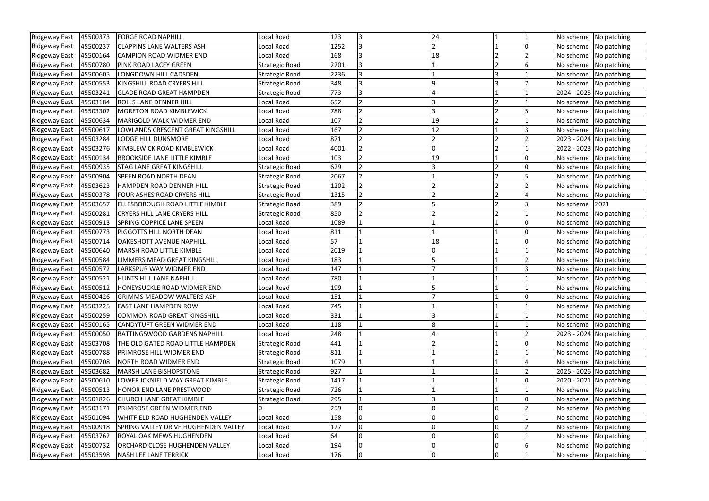| Ridgeway East            | 45500373 | <b>FORGE ROAD NAPHILL</b>                            | Local Road            | 123  | 3              | 24 |    |    | No scheme | No patching             |
|--------------------------|----------|------------------------------------------------------|-----------------------|------|----------------|----|----|----|-----------|-------------------------|
| Ridgeway East            | 45500237 | <b>CLAPPINS LANE WALTERS ASH</b>                     | Local Road            | 1252 | 3              |    |    |    | No scheme | No patching             |
| <b>Ridgeway East</b>     | 45500164 | <b>CAMPION ROAD WIDMER END</b>                       | Local Road            | 168  |                | 18 |    |    |           | No scheme   No patching |
| Ridgeway East 45500780   |          | <b>PINK ROAD LACEY GREEN</b>                         | <b>Strategic Road</b> | 2201 | 3              |    |    |    | No scheme | No patching             |
| Ridgeway East 45500605   |          | LONGDOWN HILL CADSDEN                                | <b>Strategic Road</b> | 2236 |                |    |    |    | No scheme | No patching             |
| Ridgeway East            | 45500553 | KINGSHILL ROAD CRYERS HILL                           | <b>Strategic Road</b> | 348  | 3              |    | 13 |    | No scheme | No patching             |
| Ridgeway East            | 45503241 | <b>GLADE ROAD GREAT HAMPDEN</b>                      | <b>Strategic Road</b> | 773  | 13             |    |    |    |           | 2024 - 2025 No patching |
| <b>Ridgeway East</b>     | 45503184 | <b>ROLLS LANE DENNER HILL</b>                        | Local Road            | 652  |                |    |    |    |           | No scheme   No patching |
| Ridgeway East            | 45503302 | <b>MORETON ROAD KIMBLEWICK</b>                       | Local Road            | 788  | $\overline{2}$ |    |    |    | No scheme | No patching             |
| Ridgeway East   45500634 |          | <b>MARIGOLD WALK WIDMER END</b>                      | Local Road            | 107  |                | 19 |    |    |           | No scheme   No patching |
| Ridgeway East            | 45500617 | LOWLANDS CRESCENT GREAT KINGSHILL                    | Local Road            | 167  |                | 12 |    |    |           | No scheme   No patching |
| Ridgeway East            | 45503284 | <b>LODGE HILL DUNSMORE</b>                           | Local Road            | 871  |                |    |    |    |           | 2023 - 2024 No patching |
| <b>Ridgeway East</b>     | 45503276 | KIMBLEWICK ROAD KIMBLEWICK                           | Local Road            | 4001 |                | 0  |    |    |           | 2022 - 2023 No patching |
| Ridgeway East  45500134  |          | <b>BROOKSIDE LANE LITTLE KIMBLE</b>                  | Local Road            | 103  |                | 19 |    | I٥ |           | No scheme No patching   |
| Ridgeway East   45500935 |          | <b>STAG LANE GREAT KINGSHILL</b>                     | <b>Strategic Road</b> | 629  |                |    |    |    |           | No scheme   No patching |
| <b>Ridgeway East</b>     | 45500904 | <b>SPEEN ROAD NORTH DEAN</b>                         | <b>Strategic Road</b> | 2067 | $\overline{2}$ |    | 12 |    | No scheme | No patching             |
| Ridgeway East 45503623   |          | HAMPDEN ROAD DENNER HILL                             | <b>Strategic Road</b> | 1202 |                |    |    |    | No scheme | No patching             |
| Ridgeway East 45500378   |          | FOUR ASHES ROAD CRYERS HILL                          | <b>Strategic Road</b> | 1315 |                |    |    |    |           | No scheme   No patching |
| Ridgeway East            | 45503657 | ELLESBOROUGH ROAD LITTLE KIMBLE                      | <b>Strategic Road</b> | 389  |                |    | 12 |    | No scheme | 2021                    |
| Ridgeway East   45500281 |          | <b>CRYERS HILL LANE CRYERS HILL</b>                  | <b>Strategic Road</b> | 850  |                |    |    |    | No scheme | No patching             |
| Ridgeway East            | 45500913 | <b>SPRING COPPICE LANE SPEEN</b>                     | Local Road            | 1089 |                |    |    |    | No scheme | No patching             |
| Ridgeway East            | 45500773 | <b>PIGGOTTS HILL NORTH DEAN</b>                      | Local Road            | 811  |                |    |    | 10 | No scheme | No patching             |
| Ridgeway East   45500714 |          | <b>OAKESHOTT AVENUE NAPHILL</b>                      | Local Road            | 57   |                | 18 |    |    |           | No scheme   No patching |
| Ridgeway East  45500640  |          | <b>MARSH ROAD LITTLE KIMBLE</b>                      | Local Road            | 2019 |                |    |    |    | No scheme | No patching             |
| Ridgeway East   45500584 |          | LIMMERS MEAD GREAT KINGSHILL                         | Local Road            | 183  |                |    |    |    | No scheme | No patching             |
| <b>Ridgeway East</b>     | 45500572 | <b>LARKSPUR WAY WIDMER END</b>                       | Local Road            | 147  |                |    |    |    | No scheme | No patching             |
| Ridgeway East            | 45500521 | <b>HUNTS HILL LANE NAPHILL</b>                       | Local Road            | 780  |                |    |    |    | No scheme | No patching             |
| <b>Ridgeway East</b>     | 45500512 | HONEYSUCKLE ROAD WIDMER END                          | Local Road            | 199  |                |    |    |    |           | No scheme   No patching |
|                          |          | Ridgeway East   45500426   GRIMMS MEADOW WALTERS ASH | Local Road            | 151  |                |    |    |    |           | No scheme No patching   |
| Ridgeway East 45503225   |          | <b>EAST LANE HAMPDEN ROW</b>                         | Local Road            | 745  |                |    |    |    |           | No scheme   No patching |
| <b>Ridgeway East</b>     | 45500259 | <b>COMMON ROAD GREAT KINGSHILL</b>                   | Local Road            | 331  |                |    |    |    |           | No scheme   No patching |
| Ridgeway East  45500165  |          | <b>CANDYTUFT GREEN WIDMER END</b>                    | Local Road            | 118  |                |    |    |    |           | No scheme   No patching |
| Ridgeway East   45500050 |          | <b>BATTINGSWOOD GARDENS NAPHILL</b>                  | Local Road            | 248  |                |    |    |    |           | 2023 - 2024 No patching |
| Ridgeway East   45503708 |          | THE OLD GATED ROAD LITTLE HAMPDEN                    | <b>Strategic Road</b> | 441  |                |    |    | 10 |           | No scheme No patching   |
| Ridgeway East 45500788   |          | <b>PRIMROSE HILL WIDMER END</b>                      | <b>Strategic Road</b> | 811  |                |    |    |    |           | No scheme   No patching |
| Ridgeway East   45500708 |          | NORTH ROAD WIDMER END                                | <b>Strategic Road</b> | 1079 |                |    |    |    |           | No scheme   No patching |
| Ridgeway East            | 45503682 | <b>MARSH LANE BISHOPSTONE</b>                        | <b>Strategic Road</b> | 927  |                |    |    |    |           | 2025 - 2026 No patching |
| Ridgeway East 45500610   |          | LOWER ICKNIELD WAY GREAT KIMBLE                      | <b>Strategic Road</b> | 1417 |                |    |    |    |           | 2020 - 2021 No patching |
| Ridgeway East  45500513  |          | <b>HONOR END LANE PRESTWOOD</b>                      | <b>Strategic Road</b> | 726  |                |    |    |    |           | No scheme   No patching |
| Ridgeway East 45501826   |          | <b>CHURCH LANE GREAT KIMBLE</b>                      | <b>Strategic Road</b> | 295  |                |    |    |    |           | No scheme   No patching |
| Ridgeway East            | 45503171 | PRIMROSE GREEN WIDMER END                            |                       | 259  | 0              | l0 | 10 |    |           | No scheme   No patching |
| Ridgeway East  45501094  |          | WHITFIELD ROAD HUGHENDEN VALLEY                      | Local Road            | 158  | $\overline{0}$ | l0 | I٥ |    |           | No scheme   No patching |
| Ridgeway East 45500918   |          | SPRING VALLEY DRIVE HUGHENDEN VALLEY                 | Local Road            | 127  | $\overline{0}$ | 0  |    |    |           | No scheme   No patching |
| Ridgeway East   45503762 |          | <b>ROYAL OAK MEWS HUGHENDEN</b>                      | Local Road            | 64   | l0             | l0 | 10 |    | No scheme | No patching             |
| Ridgeway East   45500732 |          | <b>ORCHARD CLOSE HUGHENDEN VALLEY</b>                | Local Road            | 194  | $\overline{0}$ | l0 | lO | 6  |           | No scheme   No patching |
| Ridgeway East 45503598   |          | NASH LEE LANE TERRICK                                | Local Road            | 176  | 0              | 10 | 10 |    |           | No scheme No patching   |